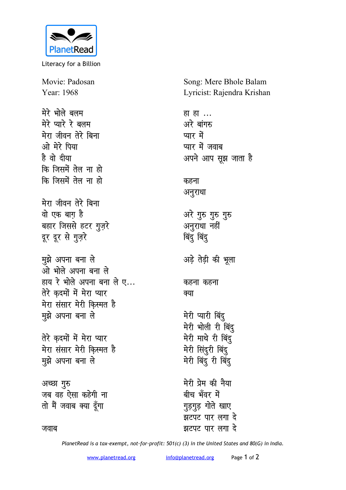

Literacy for a Billion

Movie: Padosan Year: 1968

मेरे भोले बलम मेरे प्यारे रे बलम मेरा जीवन तेरे बिना ओ मेरे पिया है वो दीया कि जिसमें तेल ना हो कि जिसमें तेल ना हो मेरा जीवन तेरे बिना वो एक बाग है बहार जिससे हटर गुज़रे दूर दूर से गुज़रे मुझे अपना बना ले ओ भोले अपना बना ले हाय रे भोले अपना बना ले ए... तेरे कदमों में मेरा प्यार मेरा संसार मेरी किस्मत है मुझे अपना बना ले तेरे कदमों में मेरा प्यार मेरा संसार मेरी किस्मत है मुझे अपना बना ले अच्छा गुरु जब वह ऐसा कहेगी ना तो मैं जवाब क्या दूँगा

Song: Mere Bhole Balam Lyricist: Rajendra Krishan

हा ह<u>ा</u> ... अरे बांगरु प्यार में प्यार में जवाब अपने आप सूझ जाता है कहना अनुराधा अरे गुरु गुरु गुरु अनुराधा नहीं बिंदू बिंदू अड़े तेड़ी की भूला कहना कहना क्या मेरी प्यारी बिंदु मेरी भोली री बिंद मेरी माथे री बिंदु मेरी सिंदुरी बिंदु मेरी बिंदू री बिंदू मेरी प्रेम की नैया बीच भँवर में गुड़गुड़ गोते खाए -<br>झटपट पार लगा दे झटपट पार लगा दे

जवाब

PlanetRead is a tax-exempt, not-for-profit: 501(c) (3) in the United States and 80(G) in India.